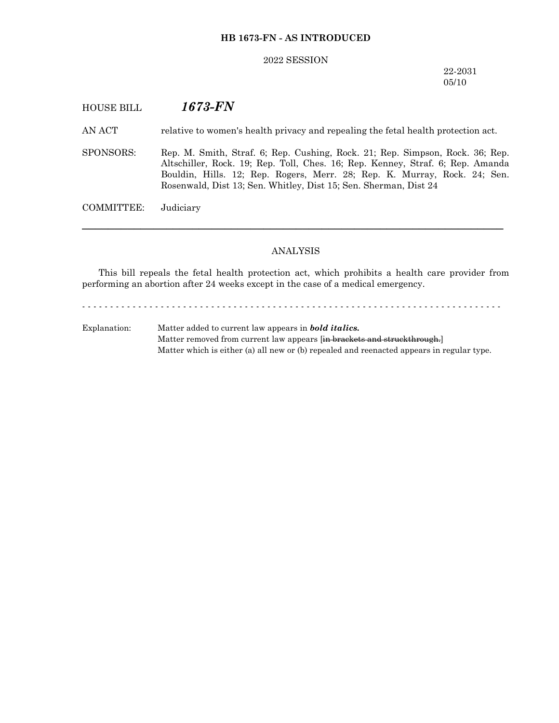#### **HB 1673-FN - AS INTRODUCED**

#### 2022 SESSION

#### 22-2031 05/10

## HOUSE BILL *1673-FN*

AN ACT relative to women's health privacy and repealing the fetal health protection act.

SPONSORS: Rep. M. Smith, Straf. 6; Rep. Cushing, Rock. 21; Rep. Simpson, Rock. 36; Rep. Altschiller, Rock. 19; Rep. Toll, Ches. 16; Rep. Kenney, Straf. 6; Rep. Amanda Bouldin, Hills. 12; Rep. Rogers, Merr. 28; Rep. K. Murray, Rock. 24; Sen. Rosenwald, Dist 13; Sen. Whitley, Dist 15; Sen. Sherman, Dist 24

COMMITTEE: Judiciary

#### ANALYSIS

─────────────────────────────────────────────────────────────────

This bill repeals the fetal health protection act, which prohibits a health care provider from performing an abortion after 24 weeks except in the case of a medical emergency.

- - - - - - - - - - - - - - - - - - - - - - - - - - - - - - - - - - - - - - - - - - - - - - - - - - - - - - - - - - - - - - - - - - - - - - - - - - -

Explanation: Matter added to current law appears in *bold italics.* Matter removed from current law appears [in brackets and struckthrough.] Matter which is either (a) all new or (b) repealed and reenacted appears in regular type.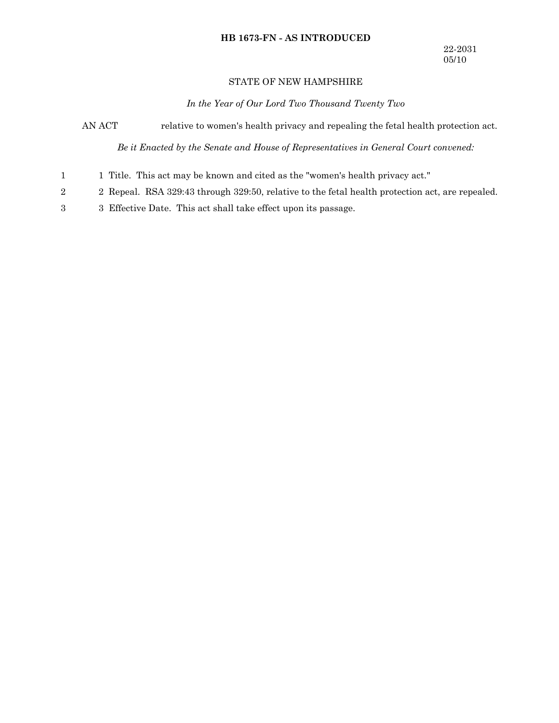### **HB 1673-FN - AS INTRODUCED**

### STATE OF NEW HAMPSHIRE

*In the Year of Our Lord Two Thousand Twenty Two*

AN ACT relative to women's health privacy and repealing the fetal health protection act.

*Be it Enacted by the Senate and House of Representatives in General Court convened:*

- 1 Title. This act may be known and cited as the "women's health privacy act." 1
- 2 Repeal. RSA 329:43 through 329:50, relative to the fetal health protection act, are repealed. 2
- 3 Effective Date. This act shall take effect upon its passage. 3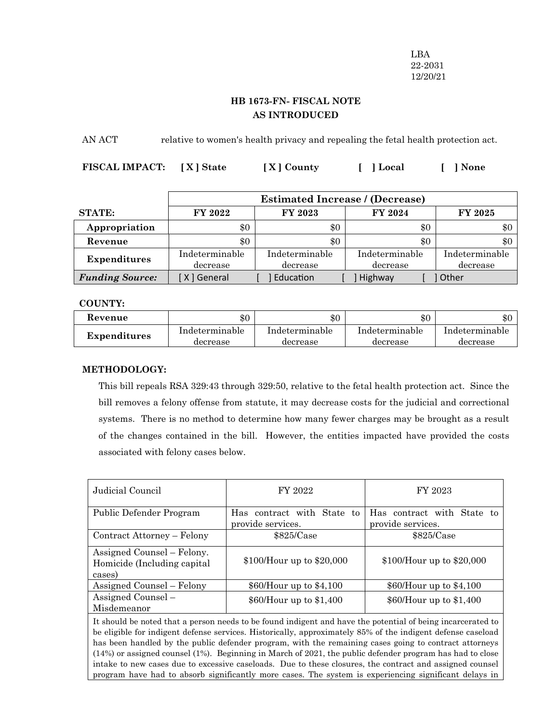LBA 22-2031 12/20/21

# **HB 1673-FN- FISCAL NOTE AS INTRODUCED**

AN ACT relative to women's health privacy and repealing the fetal health protection act.

| FISCAL IMPACT: [X] State | [X] County | [ ] Local | $\lceil$ ] None |
|--------------------------|------------|-----------|-----------------|
|                          |            |           |                 |

|                        | <b>Estimated Increase / (Decrease)</b> |                |                |                |
|------------------------|----------------------------------------|----------------|----------------|----------------|
| <b>STATE:</b>          | FY 2022                                | FY 2023        | <b>FY 2024</b> | FY 2025        |
| Appropriation          | \$0                                    | \$0            | \$0            | $\$0$          |
| Revenue                | \$0                                    | \$0            | \$0            | \$0            |
| <b>Expenditures</b>    | Indeterminable                         | Indeterminable | Indeterminable | Indeterminable |
|                        | decrease                               | decrease       | decrease       | decrease       |
| <b>Funding Source:</b> | [X] General                            | Education      | Highway        | 1 Other        |

### **COUNTY:**

| Revenue      | $\$0$          | $\$0$          | \$C            | ጦ ጦ<br>æЛ.     |
|--------------|----------------|----------------|----------------|----------------|
| Expenditures | Indeterminable | Indeterminable | Indeterminable | Indeterminable |
|              | decrease       | decrease       | decrease       | decrease       |

## **METHODOLOGY:**

This bill repeals RSA 329:43 through 329:50, relative to the fetal health protection act. Since the bill removes a felony offense from statute, it may decrease costs for the judicial and correctional systems. There is no method to determine how many fewer charges may be brought as a result of the changes contained in the bill. However, the entities impacted have provided the costs associated with felony cases below.

| Judicial Council                                                                                            | FY 2022                                         | FY 2023                                         |  |
|-------------------------------------------------------------------------------------------------------------|-------------------------------------------------|-------------------------------------------------|--|
| Public Defender Program                                                                                     | Has contract with State to<br>provide services. | Has contract with State to<br>provide services. |  |
| Contract Attorney – Felony                                                                                  | \$825/Case                                      | \$825/Case                                      |  |
| Assigned Counsel – Felony.<br>Homicide (Including capital<br>cases)                                         | $$100/H$ our up to $$20,000$                    | $$100/H$ our up to $$20,000$                    |  |
| Assigned Counsel – Felony                                                                                   | $$60/H$ our up to $$4,100$                      | $$60/H$ our up to $$4,100$                      |  |
| Assigned Counsel –<br>Misdemeanor                                                                           | $$60/H$ our up to $$1,400$                      | $$60/H$ our up to $$1,400$                      |  |
| It should be noted that a person needs to be found indigent and have the potential of being incarcerated to |                                                 |                                                 |  |

be eligible for indigent defense services. Historically, approximately 85% of the indigent defense caseload has been handled by the public defender program, with the remaining cases going to contract attorneys (14%) or assigned counsel (1%). Beginning in March of 2021, the public defender program has had to close intake to new cases due to excessive caseloads. Due to these closures, the contract and assigned counsel program have had to absorb significantly more cases. The system is experiencing significant delays in